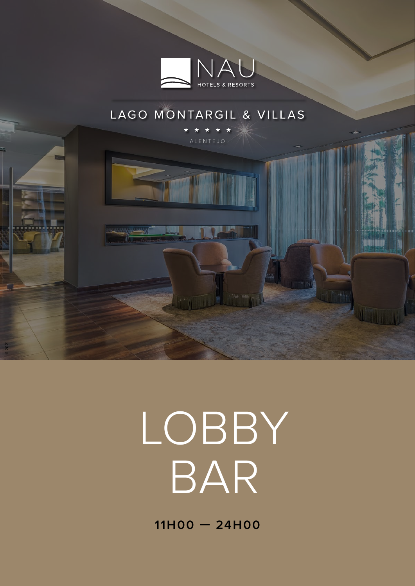

#### LAGO MONTARGIL & VILLAS



# LOBBY BAR

**11H00 — 24H00**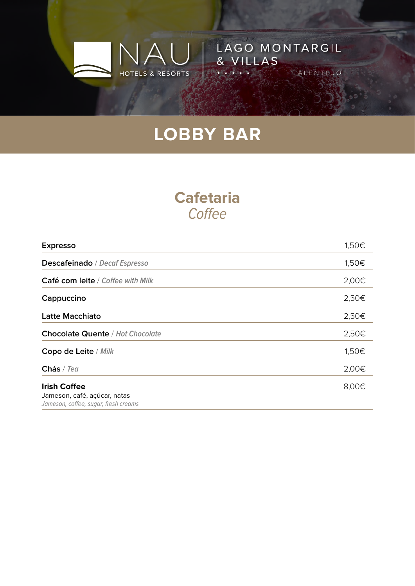HOTELS & RESORTS

LAGO MONTARGIL

ALENTEJO

& VILLAS

#### **Cafetaria Coffee**

| <b>Expresso</b>                                                                             | 1,50€ |
|---------------------------------------------------------------------------------------------|-------|
| Descafeinado / Decaf Espresso                                                               | 1,50€ |
| Café com leite / Coffee with Milk                                                           | 2,00€ |
| Cappuccino                                                                                  | 2,50€ |
| <b>Latte Macchiato</b>                                                                      | 2,50€ |
| <b>Chocolate Quente / Hot Chocolate</b>                                                     | 2,50€ |
| Copo de Leite / Milk                                                                        | 1,50€ |
| Chás / Tea                                                                                  | 2,00€ |
| <b>Irish Coffee</b><br>Jameson, café, açúcar, natas<br>Jameson, coffee, sugar, fresh creams | 8,00€ |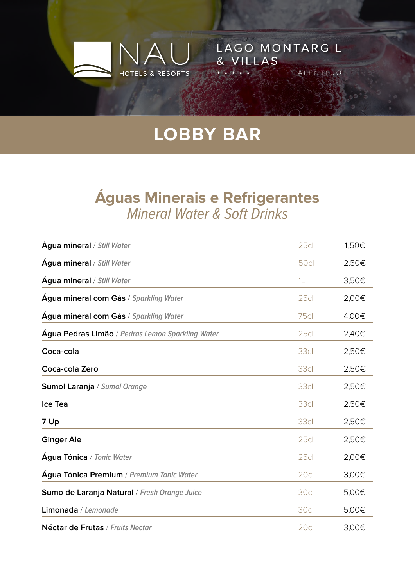HOTELS & RESORTS

LAGO MONTARGIL

ALENTEJO

& VILLAS

#### **Águas Minerais e Refrigerantes** Mineral Water & Soft Drinks

| <b>Agua mineral / Still Water</b>                | 25c         | 1,50€ |
|--------------------------------------------------|-------------|-------|
| <b>Água mineral / Still Water</b>                | <b>50cl</b> | 2,50€ |
| <b>Água mineral / Still Water</b>                | 1L          | 3,50€ |
| Agua mineral com Gás / Sparkling Water           | 25c         | 2,00€ |
| Água mineral com Gás / Sparkling Water           | 75c         | 4,00€ |
| Água Pedras Limão / Pedras Lemon Sparkling Water | 25c         | 2,40€ |
| Coca-cola                                        | 33cl        | 2,50€ |
| Coca-cola Zero                                   | 33cl        | 2,50€ |
| Sumol Laranja / Sumol Orange                     | 33cl        | 2,50€ |
| Ice Tea                                          | 33cl        | 2,50€ |
| 7 Up                                             | 33cl        | 2,50€ |
| <b>Ginger Ale</b>                                | 25c         | 2,50€ |
| Água Tónica / Tonic Water                        | 25c         | 2,00€ |
| Água Tónica Premium / Premium Tonic Water        | 20cl        | 3,00€ |
| Sumo de Laranja Natural / Fresh Orange Juice     | 30cl        | 5,00€ |
| Limonada / Lemonade                              | 30cl        | 5,00€ |
| Néctar de Frutas / Fruits Nectar                 | 20cl        | 3,00€ |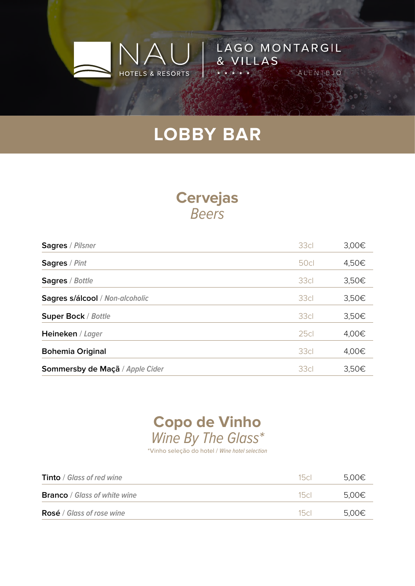HOTELS & RESORTS

LAGO MONTARGIL

ALENTEJO

& VILLAS

#### **Cervejas** Beers

| <b>Sagres / Pilsner</b>         | 33cl        | 3,00€ |
|---------------------------------|-------------|-------|
| <b>Sagres / Pint</b>            | <b>50cl</b> | 4,50€ |
| Sagres / Bottle                 | 33cl        | 3,50€ |
| Sagres s/álcool / Non-alcoholic | 33cl        | 3,50€ |
| <b>Super Bock / Bottle</b>      | 33cl        | 3,50€ |
| Heineken / Lager                | 25c         | 4,00€ |
| <b>Bohemia Original</b>         | 33cl        | 4,00€ |
| Sommersby de Maçã / Apple Cider | 33cl        | 3,50€ |

#### **Copo de Vinho** Wine By The Glass\*

\*Vinho seleção do hotel / Wine hotel selection

| <b>Tinto</b> / Glass of red wine    | 15c  | 5.00€ |
|-------------------------------------|------|-------|
| <b>Branco</b> / Glass of white wine | 15cl | 5.00€ |
| <b>Rosé</b> / Glass of rose wine    | 15c  | 5.00€ |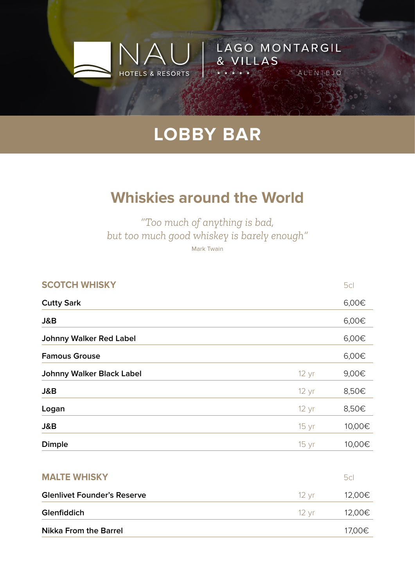HOTELS & RESORTS

LAGO MONTARGIL

ALENTEJO

& VILLAS

## **Whiskies around the World**

*"Too much of anything is bad, but too much good whiskey is barely enough"* Mark Twain

| <b>SCOTCH WHISKY</b>               |                 | 5cl    |
|------------------------------------|-----------------|--------|
| <b>Cutty Sark</b>                  |                 | 6,00€  |
| J&B                                |                 | 6,00€  |
| <b>Johnny Walker Red Label</b>     |                 | 6,00€  |
| <b>Famous Grouse</b>               |                 | 6,00€  |
| <b>Johnny Walker Black Label</b>   | 12 yr           | 9,00€  |
| J&B                                | $12 \text{ yr}$ | 8,50€  |
| Logan                              | $12 \text{ yr}$ | 8,50€  |
| J&B                                | $15 \, yr$      | 10,00€ |
| Dimple                             | 15 yr           | 10,00€ |
| <b>MALTE WHISKY</b>                |                 | 5cl    |
| <b>Glenlivet Founder's Reserve</b> | $12 \text{ yr}$ | 12,00€ |
| Glenfiddich                        | $12 \text{ yr}$ | 12,00€ |
| <b>Nikka From the Barrel</b>       |                 | 17,00€ |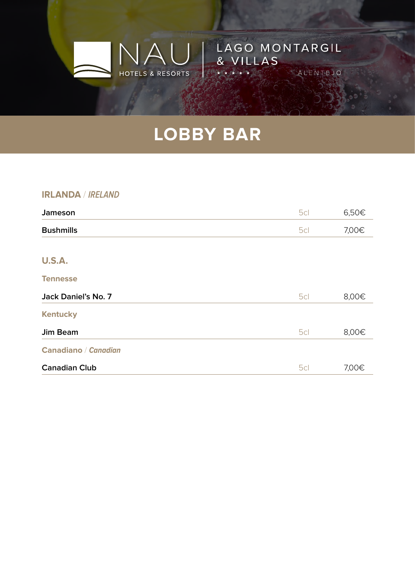$\Delta$ 

HOTELS & RESORTS

LAGO MONTARGIL

ALENTEJO

& VILLAS

#### **IRLANDA** / **IRELAND**

| Jameson              | 5cl | 6,50€ |
|----------------------|-----|-------|
| <b>Bushmills</b>     | 5cl | 7,00€ |
|                      |     |       |
| <b>U.S.A.</b>        |     |       |
| <b>Tennesse</b>      |     |       |
| Jack Daniel's No. 7  | 5cl | 8,00€ |
| <b>Kentucky</b>      |     |       |
| <b>Jim Beam</b>      | 5cl | 8,00€ |
| Canadiano / Canadian |     |       |
| <b>Canadian Club</b> | 5cl | 7,00€ |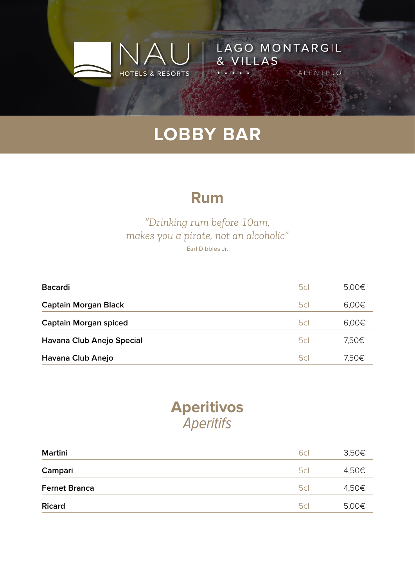HOTELS & RESORTS

LAGO MONTARGIL

ALENTEJO

& VILLAS

#### **Rum**

#### *"Drinking rum before 10am, makes you a pirate, not an alcoholic"* Earl Dibbles Jr.

| <b>Bacardi</b>               | 5cl | 5,00€ |
|------------------------------|-----|-------|
| <b>Captain Morgan Black</b>  | 5c  | 6,00€ |
| <b>Captain Morgan spiced</b> | 5c  | 6,00€ |
| Havana Club Anejo Special    | 5c  | 7,50€ |
| Havana Club Anejo            | 5c  | 7,50€ |

#### **Aperitivos Aperitifs**

| Martini              | 6cl | 3,50€ |
|----------------------|-----|-------|
| Campari              | 5cl | 4,50€ |
| <b>Fernet Branca</b> | 5cl | 4,50€ |
| <b>Ricard</b>        | 5cl | 5,00€ |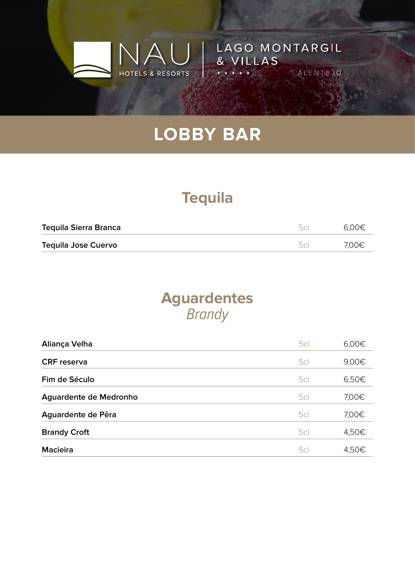

LAGO MONTARGIL

ALENTEJO

& VILLAS

## **Tequila**

| <b>Tequila Sierra Branca</b> | 50 | 6.00€ |
|------------------------------|----|-------|
| <b>Tequila Jose Cuervo</b>   | 50 | 7,00€ |

#### **Aguardentes Brandy**

| Aliança Velha          | 5cl | 6,00€ |
|------------------------|-----|-------|
| <b>CRF</b> reserva     | 5cl | 9,00€ |
| Fim de Século          | 5cl | 6,50€ |
| Aguardente de Medronho | 5cl | 7,00€ |
| Aguardente de Pêra     | 5cl | 7,00€ |
| <b>Brandy Croft</b>    | 5cl | 4,50€ |
| <b>Macieira</b>        | 5cl | 4,50€ |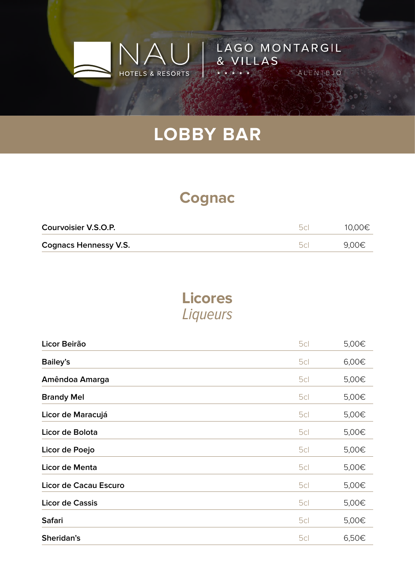

LAGO MONTARGIL

ALENTEJO

& VILLAS

### **Cognac**

| Courvoisier V.S.O.P.         | hr | 10,00€ |
|------------------------------|----|--------|
| <b>Cognacs Hennessy V.S.</b> |    | 9,00€  |

## **Licores** Liqueurs

| Licor Beirão           | 5cl | 5,00€ |
|------------------------|-----|-------|
| <b>Bailey's</b>        | 5cl | 6,00€ |
| Amêndoa Amarga         | 5cl | 5,00€ |
| <b>Brandy Mel</b>      | 5cl | 5,00€ |
| Licor de Maracujá      | 5cl | 5,00€ |
| Licor de Bolota        | 5cl | 5,00€ |
| Licor de Poejo         | 5cl | 5,00€ |
| Licor de Menta         | 5cl | 5,00€ |
| Licor de Cacau Escuro  | 5cl | 5,00€ |
| <b>Licor de Cassis</b> | 5cl | 5,00€ |
| <b>Safari</b>          | 5cl | 5,00€ |
| Sheridan's             | 5cl | 6,50€ |
|                        |     |       |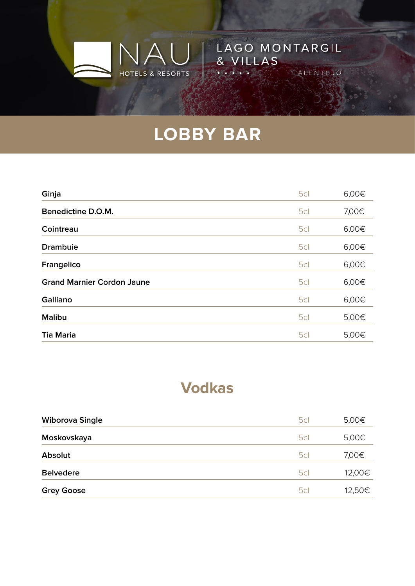$\Delta$ 

HOTELS & RESORTS

LAGO MONTARGIL

ALENTEJO

& VILLAS

| Ginja                             | 5cl | 6,00€ |
|-----------------------------------|-----|-------|
| Benedictine D.O.M.                | 5cl | 7,00€ |
| Cointreau                         | 5cl | 6,00€ |
| <b>Drambuie</b>                   | 5cl | 6,00€ |
| Frangelico                        | 5cl | 6,00€ |
| <b>Grand Marnier Cordon Jaune</b> | 5cl | 6,00€ |
| Galliano                          | 5cl | 6,00€ |
| <b>Malibu</b>                     | 5cl | 5,00€ |
| <b>Tia Maria</b>                  | 5cl | 5,00€ |

#### **Vodkas**

| <b>Wiborova Single</b> | 5cl | 5,00€  |
|------------------------|-----|--------|
| Moskovskaya            | 5cl | 5,00€  |
| <b>Absolut</b>         | 5cl | 7,00€  |
| <b>Belvedere</b>       | 5cl | 12,00€ |
| <b>Grey Goose</b>      | 5cl | 12,50€ |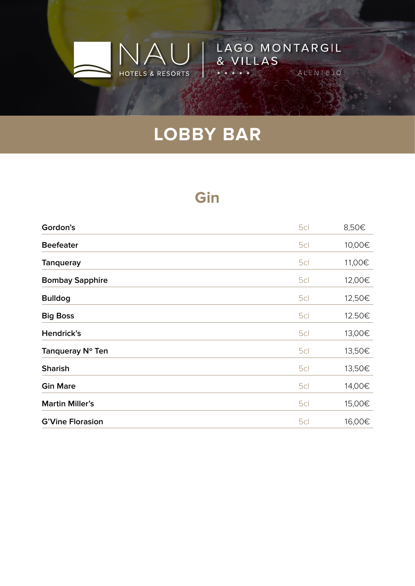$\Delta$ 

HOTELS & RESORTS

LAGO MONTARGIL

ALENTEJO

& VILLAS

#### **Gin**

| Gordon's                | 5cl | 8,50€  |
|-------------------------|-----|--------|
| <b>Beefeater</b>        | 5cl | 10,00€ |
| <b>Tanqueray</b>        | 5cl | 11,00€ |
| <b>Bombay Sapphire</b>  | 5cl | 12,00€ |
| <b>Bulldog</b>          | 5cl | 12,50€ |
| <b>Big Boss</b>         | 5cl | 12.50€ |
| Hendrick's              | 5cl | 13,00€ |
| Tanqueray N° Ten        | 5cl | 13,50€ |
| <b>Sharish</b>          | 5cl | 13,50€ |
| <b>Gin Mare</b>         | 5cl | 14,00€ |
| <b>Martin Miller's</b>  | 5cl | 15,00€ |
| <b>G'Vine Florasion</b> | 5cl | 16,00€ |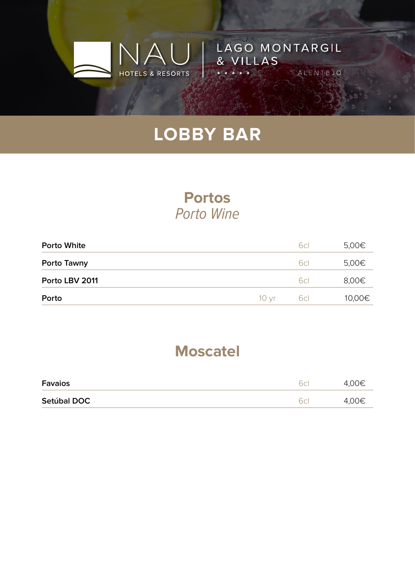

LAGO MONTARGIL

ALENTEJO

& VILLAS

#### **Portos** Porto Wine

| <b>Porto White</b> |                  | 6cl | 5,00€  |
|--------------------|------------------|-----|--------|
| Porto Tawny        |                  | 6cl | 5,00€  |
| Porto LBV 2011     |                  | 6cl | 8,00€  |
| Porto              | 10 <sub>vr</sub> | 6cl | 10,00€ |

#### **Moscatel**

| <b>Favaios</b> | $\Gamma$ $\sim$ | 4,00€ |
|----------------|-----------------|-------|
| Setúbal DOC    |                 | 4,00€ |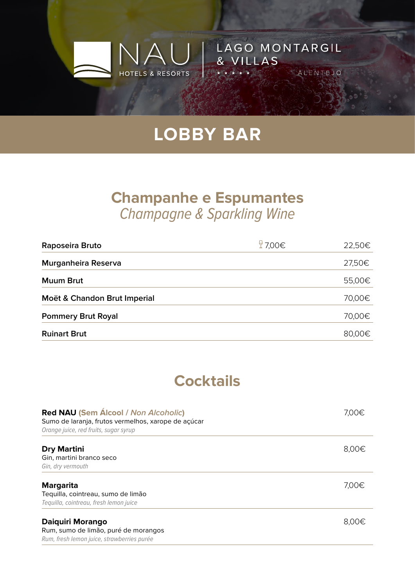HOTELS & RESORTS

LAGO MONTARGIL

ALENTEJO

& VILLAS

#### **Champanhe e Espumantes** Champagne & Sparkling Wine

| Raposeira Bruto              | $\frac{6}{2}$ 7,00€ | 22,50€ |
|------------------------------|---------------------|--------|
| Murganheira Reserva          |                     | 27,50€ |
| <b>Muum Brut</b>             |                     | 55,00€ |
| Moët & Chandon Brut Imperial |                     | 70,00€ |
| <b>Pommery Brut Royal</b>    |                     | 70,00€ |
| <b>Ruinart Brut</b>          |                     | 80,00€ |

#### **Cocktails**

| <b>Red NAU (Sem Álcool / Non Alcoholic)</b><br>Sumo de laranja, frutos vermelhos, xarope de açúcar<br>Orange juice, red fruits, sugar syrup | 7.00€ |
|---------------------------------------------------------------------------------------------------------------------------------------------|-------|
| <b>Dry Martini</b><br>Gin, martini branco seco<br>Gin, dry vermouth                                                                         | 8,00€ |
| <b>Margarita</b><br>Tequilla, cointreau, sumo de limão<br>Tequilla, cointreau, fresh lemon juice                                            | 7,00€ |
| Daiquiri Morango<br>Rum, sumo de limão, puré de morangos<br>Rum, fresh lemon juice, strawberries purée                                      | 8.00€ |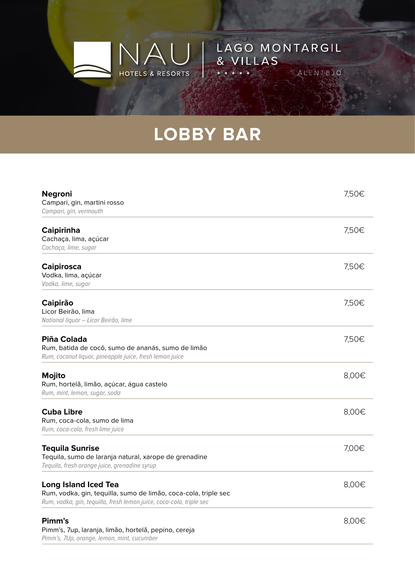HOTELS & RESORTS

LAGO MONTARGIL

ALENTEJO

& VILLAS

| <b>Negroni</b><br>Campari, gin, martini rosso<br>Campari, gin, vermouth                                                                                               | 7,50€ |
|-----------------------------------------------------------------------------------------------------------------------------------------------------------------------|-------|
| <b>Caipirinha</b><br>Cachaça, lima, açúcar<br>Cachaça, lime, sugar                                                                                                    | 7,50€ |
| <b>Caipirosca</b><br>Vodka, lima, açúcar<br>Vodka, lime, sugar                                                                                                        | 7,50€ |
| <b>Caipirão</b><br>Licor Beirão, lima<br>National liquor - Licor Beirão, lime                                                                                         | 7,50€ |
| Piña Colada<br>Rum, batida de cocô, sumo de ananás, sumo de limão<br>Rum, coconut liquor, pineapple juice, fresh lemon juice                                          | 7,50€ |
| Mojito<br>Rum, hortelã, limão, açúcar, água castelo<br>Rum, mint, lemon, sugar, soda                                                                                  | 8,00€ |
| <b>Cuba Libre</b><br>Rum, coca-cola, sumo de lima<br>Rum, coca-cola, fresh lime juice                                                                                 | 8,00€ |
| <b>Tequila Sunrise</b><br>Tequila, sumo de laranja natural, xarope de grenadine<br>Tequila, fresh orange juice, grenadine syrup                                       | 7,00€ |
| <b>Long Island Iced Tea</b><br>Rum, vodka, gin, tequilla, sumo de limão, coca-cola, triple sec<br>Rum, vodka, gin, tequilla, fresh lemon juice, coca-cola, triple sec | 8,00€ |
| Pimm's<br>Pimm's, 7up, laranja, limão, hortelã, pepino, cereja<br>Pimm's, 7Up, orange, lemon, mint, cucumber                                                          | 8,00€ |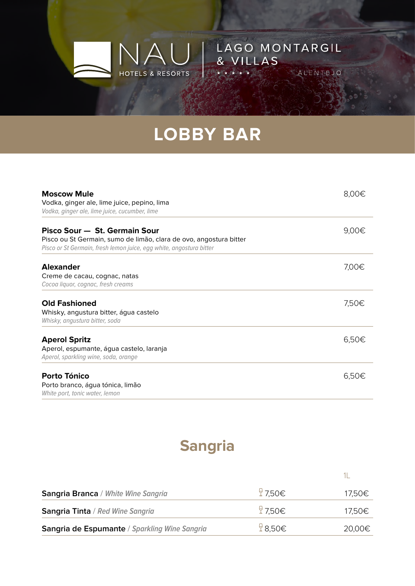NA.

HOTELS & RESORTS

LAGO MONTARGIL

ALENTEJO

& VILLAS

| <b>Moscow Mule</b><br>Vodka, ginger ale, lime juice, pepino, lima<br>Vodka, ginger ale, lime juice, cucumber, lime                                                         | 8,00€ |
|----------------------------------------------------------------------------------------------------------------------------------------------------------------------------|-------|
| Pisco Sour - St. Germain Sour<br>Pisco ou St Germain, sumo de limão, clara de ovo, angostura bitter<br>Pisco or St Germain, fresh lemon juice, egg white, angostura bitter | 9,00€ |
| <b>Alexander</b><br>Creme de cacau, cognac, natas<br>Cocoa liquor, cognac, fresh creams                                                                                    | 7,00€ |
| <b>Old Fashioned</b><br>Whisky, angustura bitter, água castelo<br>Whisky, angustura bitter, soda                                                                           | 7,50€ |
| <b>Aperol Spritz</b><br>Aperol, espumante, água castelo, laranja<br>Aperol, sparkling wine, soda, orange                                                                   | 6,50€ |
| Porto Tónico<br>Porto branco, água tónica, limão<br>White port, tonic water, lemon                                                                                         | 6,50€ |

## **Sangria**

| Sangria Branca / White Wine Sangria           | $\frac{0}{2}$ 7,50€ | 17,50€ |
|-----------------------------------------------|---------------------|--------|
| Sangria Tinta / Red Wine Sangria              | $\frac{0}{4}$ 7.50€ | 17,50€ |
| Sangria de Espumante / Sparkling Wine Sangria | $\frac{0}{4}$ 8,50€ | 20,00€ |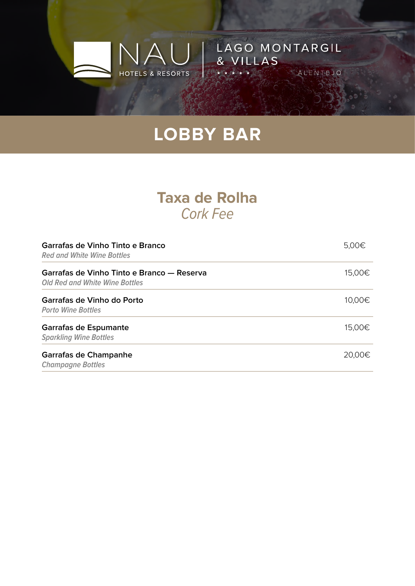$\Box$ 

HOTELS & RESORTS

LAGO MONTARGIL

ALENTEJO

& VILLAS

#### **Taxa de Rolha** Cork Fee

| Garrafas de Vinho Tinto e Branco<br><b>Red and White Wine Bottles</b>               | 5,00€  |
|-------------------------------------------------------------------------------------|--------|
| Garrafas de Vinho Tinto e Branco — Reserva<br><b>Old Red and White Wine Bottles</b> | 15,00€ |
| Garrafas de Vinho do Porto<br><b>Porto Wine Bottles</b>                             | 10,00€ |
| Garrafas de Espumante<br><b>Sparkling Wine Bottles</b>                              | 15,00€ |
| Garrafas de Champanhe<br><b>Champagne Bottles</b>                                   | 20,00€ |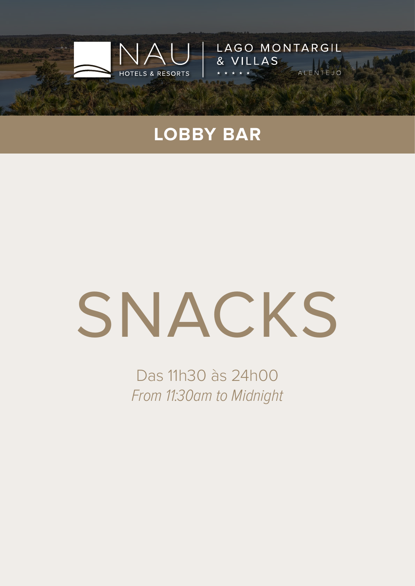

**LAGO MONTARGIL** 

ALE

& VILLAS

# SNACKS

Das 11h30 às 24h00 From 11:30am to Midnight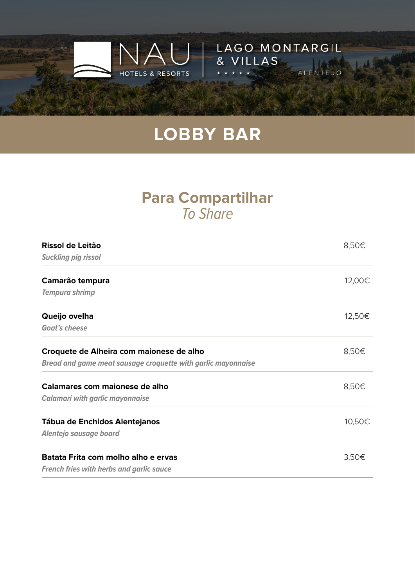

LAGO MONTARGIL

ALEN

& VILLAS

#### **Para Compartilhar** To Share

| Rissol de Leitão                                             | 8,50€  |
|--------------------------------------------------------------|--------|
| <b>Suckling pig rissol</b>                                   |        |
| Camarão tempura                                              | 12,00€ |
| <b>Tempura shrimp</b>                                        |        |
| Queijo ovelha                                                | 12,50€ |
| <b>Goat's cheese</b>                                         |        |
| Croquete de Alheira com maionese de alho                     | 8,50€  |
| Bread and game meat sausage croquette with garlic mayonnaise |        |
| Calamares com maionese de alho                               | 8,50€  |
| <b>Calamari with garlic mayonnaise</b>                       |        |
| <b>Tábua de Enchidos Alentejanos</b>                         | 10,50€ |
| Alentejo sausage board                                       |        |
| Batata Frita com molho alho e ervas                          | 3,50€  |
| <b>French fries with herbs and garlic sauce</b>              |        |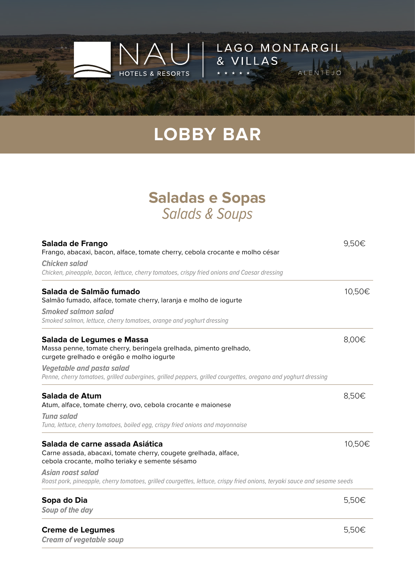

LAGO MONTARGIL

ALEN

& VILLAS

#### **Saladas e Sopas** Salads & Soups

| Salada de Frango<br>Frango, abacaxi, bacon, alface, tomate cherry, cebola crocante e molho césar<br><b>Chicken salad</b>                                                                          |        |
|---------------------------------------------------------------------------------------------------------------------------------------------------------------------------------------------------|--------|
| Chicken, pineapple, bacon, lettuce, cherry tomatoes, crispy fried onions and Caesar dressing                                                                                                      |        |
| Salada de Salmão fumado<br>Salmão fumado, alface, tomate cherry, laranja e molho de iogurte<br><b>Smoked salmon salad</b><br>Smoked salmon, lettuce, cherry tomatoes, orange and yoghurt dressing | 10,50€ |
| Salada de Legumes e Massa<br>Massa penne, tomate cherry, beringela grelhada, pimento grelhado,<br>curgete grelhado e orégão e molho iogurte                                                       | 8,00€  |
| <b>Vegetable and pasta salad</b><br>Penne, cherry tomatoes, grilled aubergines, grilled peppers, grilled courgettes, oregano and yoghurt dressing                                                 |        |
| Salada de Atum<br>Atum, alface, tomate cherry, ovo, cebola crocante e maionese                                                                                                                    | 8,50€  |
| <b>Tuna salad</b><br>Tuna, lettuce, cherry tomatoes, boiled egg, crispy fried onions and mayonnaise                                                                                               |        |
| Salada de carne assada Asiática<br>Carne assada, abacaxi, tomate cherry, cougete grelhada, alface,<br>cebola crocante, molho teriaky e semente sésamo                                             | 10,50€ |
| Asian roast salad<br>Roast pork, pineapple, cherry tomatoes, grilled courgettes, lettuce, crispy fried onions, teryaki sauce and sesame seeds                                                     |        |
| Sopa do Dia<br>Soup of the day                                                                                                                                                                    | 5,50€  |
| <b>Creme de Legumes</b><br><b>Cream of vegetable soup</b>                                                                                                                                         | 5,50€  |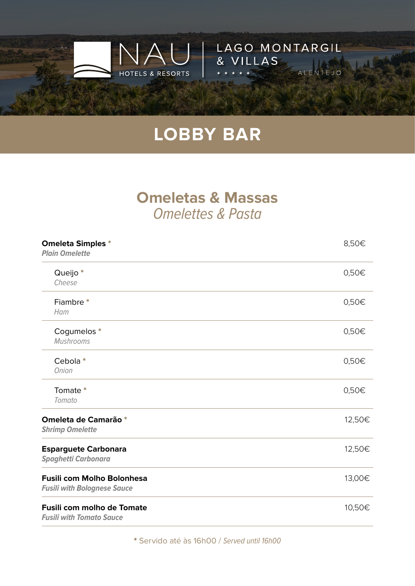

LAGO MONTARGIL

ALE

& VILLAS

#### **Omeletas & Massas** Omelettes & Pasta

| <b>Omeleta Simples *</b><br><b>Plain Omelette</b>                       | 8,50€  |
|-------------------------------------------------------------------------|--------|
| Queijo*<br>Cheese                                                       | 0,50€  |
| Fiambre*<br>Ham                                                         | 0,50€  |
| Cogumelos *<br><b>Mushrooms</b>                                         | 0,50€  |
| Cebola*<br><b>Onion</b>                                                 | 0,50€  |
| Tomate *<br>Tomato                                                      | 0,50€  |
| Omeleta de Camarão *<br><b>Shrimp Omelette</b>                          | 12,50€ |
| <b>Esparguete Carbonara</b><br><b>Spaghetti Carbonara</b>               | 12,50€ |
| <b>Fusili com Molho Bolonhesa</b><br><b>Fusili with Bolognese Sauce</b> | 13,00€ |
| <b>Fusili com molho de Tomate</b><br><b>Fusili with Tomato Sauce</b>    | 10,50€ |

\* Servido até às 16h00 / Served until 16h00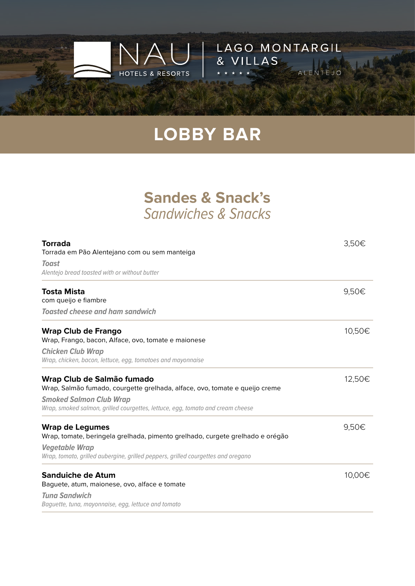

LAGO MONTARGIL

ALEN

& VILLAS

#### **Sandes & Snack's** Sandwiches & Snacks

| <b>Torrada</b><br>Torrada em Pão Alentejano com ou sem manteiga                                                  | 3,50€  |
|------------------------------------------------------------------------------------------------------------------|--------|
| <b>Toast</b><br>Alentejo bread toasted with or without butter                                                    |        |
| <b>Tosta Mista</b><br>com queijo e fiambre                                                                       | 9,50€  |
| <b>Toasted cheese and ham sandwich</b>                                                                           |        |
| <b>Wrap Club de Frango</b><br>Wrap, Frango, bacon, Alface, ovo, tomate e maionese                                | 10,50€ |
| <b>Chicken Club Wrap</b><br>Wrap, chicken, bacon, lettuce, egg, tomatoes and mayonnaise                          |        |
| Wrap Club de Salmão fumado<br>Wrap, Salmão fumado, courgette grelhada, alface, ovo, tomate e queijo creme        | 12,50€ |
| <b>Smoked Salmon Club Wrap</b><br>Wrap, smoked salmon, grilled courgettes, lettuce, egg, tomato and cream cheese |        |
| <b>Wrap de Legumes</b><br>Wrap, tomate, beringela grelhada, pimento grelhado, curgete grelhado e orégão          | 9,50€  |
| <b>Vegetable Wrap</b><br>Wrap, tomato, grilled aubergine, grilled peppers, grilled courgettes and oregano        |        |
| <b>Sanduiche de Atum</b><br>Baguete, atum, maionese, ovo, alface e tomate                                        | 10,00€ |
| <b>Tuna Sandwich</b><br>Baguette, tuna, mayonnaise, egg, lettuce and tomato                                      |        |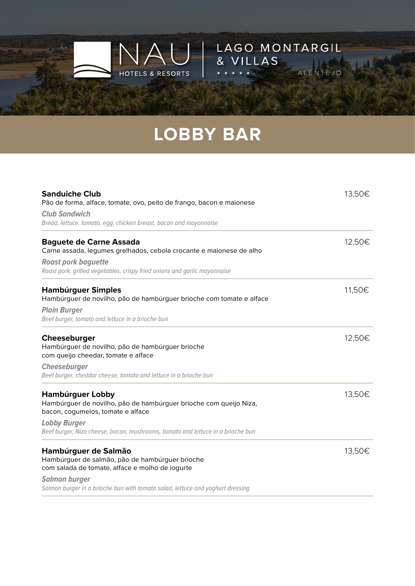

LAGO MONTARGIL

ALENTEJO

& VILLAS

| <b>Sanduiche Club</b><br>Pão de forma, alface, tomate, ovo, peito de frango, bacon e maionese                                                                                                                                        | 13,50€ |
|--------------------------------------------------------------------------------------------------------------------------------------------------------------------------------------------------------------------------------------|--------|
| <b>Club Sandwich</b>                                                                                                                                                                                                                 |        |
| Bread, lettuce, tomato, egg, chicken breast, bacon and mayonnaise                                                                                                                                                                    |        |
| <b>Baguete de Carne Assada</b><br>Carne assada, legumes grelhados, cebola crocante e maionese de alho                                                                                                                                | 12,50€ |
| <b>Roast pork baguette</b><br>Roast pork, grilled vegetables, crispy fried onions and garlic mayonnaise                                                                                                                              |        |
| <b>Hamburguer Simples</b><br>Hambúrguer de novilho, pão de hambúrguer brioche com tomate e alface                                                                                                                                    | 11,50€ |
| <b>Plain Burger</b>                                                                                                                                                                                                                  |        |
| Beef burger, tomato and lettuce in a brioche bun                                                                                                                                                                                     |        |
| Cheeseburger<br>Hambúrguer de novilho, pão de hambúrguer brioche<br>com queijo cheedar, tomate e alface                                                                                                                              | 12,50€ |
| <b>Cheeseburger</b>                                                                                                                                                                                                                  |        |
| Beef burger, cheddar cheese, tomato and lettuce in a brioche bun                                                                                                                                                                     |        |
| <b>Hamburguer Lobby</b><br>Hambúrguer de novilho, pão de hambúrguer brioche com queijo Niza,<br>bacon, cogumelos, tomate e alface                                                                                                    | 13,50€ |
| <b>Lobby Burger</b><br>Beef burger, Niza cheese, bacon, mushrooms, tomato and lettuce in a brioche bun                                                                                                                               |        |
| Hambúrguer de Salmão<br>Hambúrguer de salmão, pão de hambúrguer brioche<br>com salada de tomate, alface e molho de iogurte<br><b>Salmon burger</b><br>Salmon burger in a brioche bun with tomato salad, lettuce and yoghurt dressing | 13,50€ |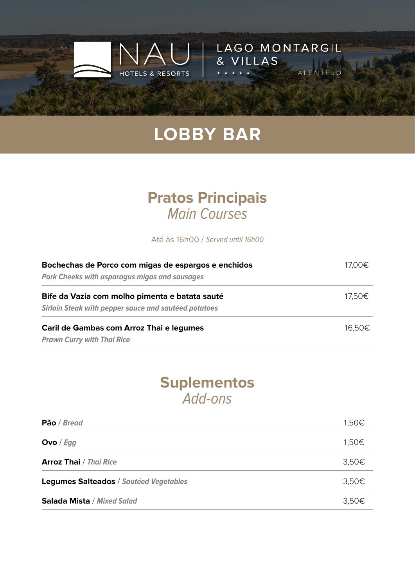

LAGO MONTARGIL

ALE

& VILLAS

#### **Pratos Principais** Main Courses

Até às 16h00 / Served until 16h00

| Bochechas de Porco com migas de espargos e enchidos<br><b>Pork Cheeks with asparagus migas and sausages</b> | 17,00€ |
|-------------------------------------------------------------------------------------------------------------|--------|
|                                                                                                             |        |
| <b>Sirloin Steak with pepper sauce and sautéed potatoes</b>                                                 |        |
| Caril de Gambas com Arroz Thai e legumes                                                                    | 16.50€ |
| <b>Prawn Curry with Thai Rice</b>                                                                           |        |

#### **Suplementos** Add-ons

| Pão / Bread                            | 1,50€ |
|----------------------------------------|-------|
| Ovo / $Egg$                            | 1,50€ |
| <b>Arroz Thai</b> / <i>Thai Rice</i>   | 3,50€ |
| Legumes Salteados / Sautéed Vegetables | 3,50€ |
| Salada Mista / Mixed Salad             | 3,50€ |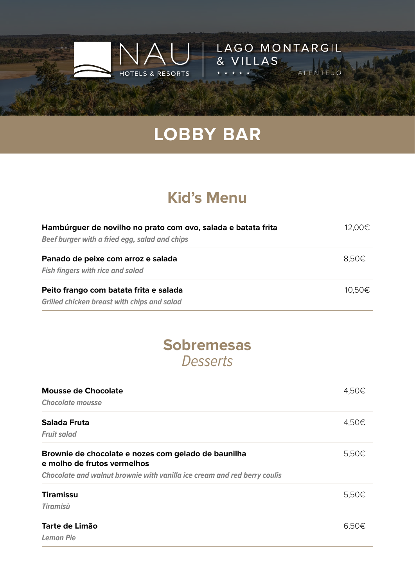

LAGO MONTARGIL

ALEN

& VILLAS

## **Kid's Menu**

| Hambúrguer de novilho no prato com ovo, salada e batata frita | 12,00€ |
|---------------------------------------------------------------|--------|
| Beef burger with a fried egg, salad and chips                 |        |
| Panado de peixe com arroz e salada                            | 8,50€  |
| <b>Fish fingers with rice and salad</b>                       |        |
| Peito frango com batata frita e salada                        | 10.50€ |
| <b>Grilled chicken breast with chips and salad</b>            |        |

#### **Sobremesas Desserts**

| <b>Mousse de Chocolate</b>                                                         | 4,50€ |
|------------------------------------------------------------------------------------|-------|
| <b>Chocolate mousse</b>                                                            |       |
| Salada Fruta                                                                       | 4,50€ |
| <b>Fruit salad</b>                                                                 |       |
| Brownie de chocolate e nozes com gelado de baunilha<br>e molho de frutos vermelhos | 5,50€ |
| Chocolate and walnut brownie with vanilla ice cream and red berry coulis           |       |
| <b>Tiramissu</b>                                                                   | 5,50€ |
| <b>Tiramisù</b>                                                                    |       |
| Tarte de Limão                                                                     | 6,50€ |
| <b>Lemon Pie</b>                                                                   |       |